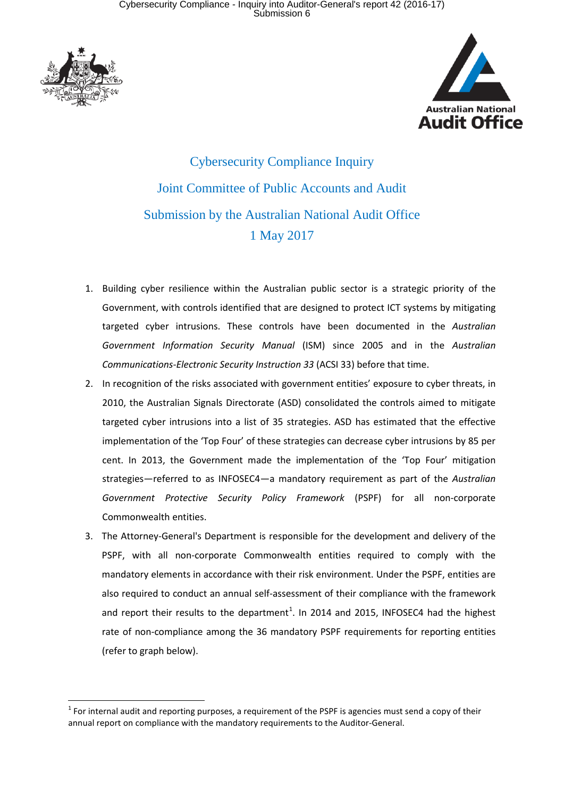

 $\overline{a}$ 



Cybersecurity Compliance Inquiry Joint Committee of Public Accounts and Audit Submission by the Australian National Audit Office 1 May 2017

- 1. Building cyber resilience within the Australian public sector is a strategic priority of the Government, with controls identified that are designed to protect ICT systems by mitigating targeted cyber intrusions. These controls have been documented in the *Australian Government Information Security Manual* (ISM) since 2005 and in the *Australian Communications-Electronic Security Instruction 33* (ACSI 33) before that time.
- 2. In recognition of the risks associated with government entities' exposure to cyber threats, in 2010, the Australian Signals Directorate (ASD) consolidated the controls aimed to mitigate targeted cyber intrusions into a list of 35 strategies. ASD has estimated that the effective implementation of the 'Top Four' of these strategies can decrease cyber intrusions by 85 per cent. In 2013, the Government made the implementation of the 'Top Four' mitigation strategies—referred to as INFOSEC4—a mandatory requirement as part of the *Australian Government Protective Security Policy Framework* (PSPF) for all non-corporate Commonwealth entities.
- 3. The Attorney-General's Department is responsible for the development and delivery of the PSPF, with all non-corporate Commonwealth entities required to comply with the mandatory elements in accordance with their risk environment. Under the PSPF, entities are also required to conduct an annual self-assessment of their compliance with the framework and report their results to the department<sup>[1](#page-0-0)</sup>. In 2014 and 2015, INFOSEC4 had the highest rate of non-compliance among the 36 mandatory PSPF requirements for reporting entities (refer to graph below).

<span id="page-0-0"></span> $1$  For internal audit and reporting purposes, a requirement of the PSPF is agencies must send a copy of their annual report on compliance with the mandatory requirements to the Auditor-General.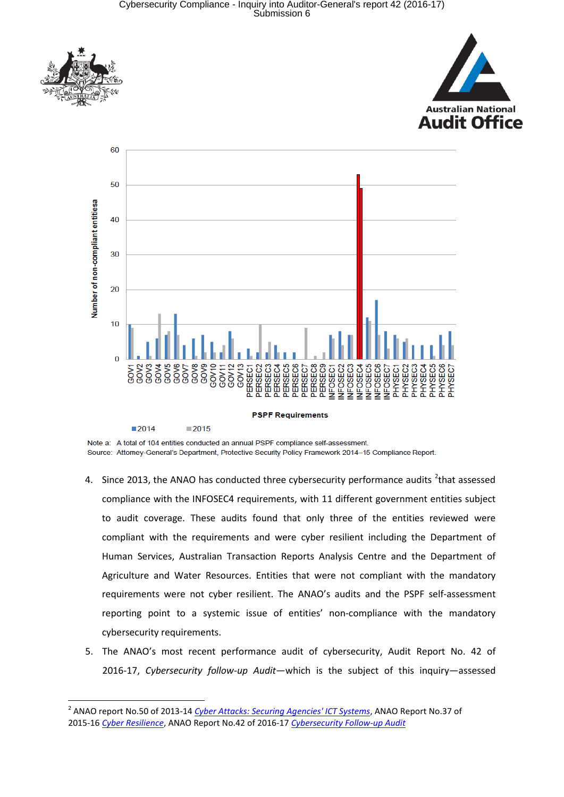Cybersecurity Compliance - Inquiry into Auditor-General's report 42 (2016-17) Submission 6



 $\overline{a}$ 





Note a: A total of 104 entities conducted an annual PSPF compliance self-assessment. Source: Attorney-General's Department, Protective Security Policy Framework 2014-15 Compliance Report.

- 4. Since [2](#page-1-0)013, the ANAO has conducted three cybersecurity performance audits  $2$ that assessed compliance with the INFOSEC4 requirements, with 11 different government entities subject to audit coverage. These audits found that only three of the entities reviewed were compliant with the requirements and were cyber resilient including the Department of Human Services, Australian Transaction Reports Analysis Centre and the Department of Agriculture and Water Resources. Entities that were not compliant with the mandatory requirements were not cyber resilient. The ANAO's audits and the PSPF self-assessment reporting point to a systemic issue of entities' non-compliance with the mandatory cybersecurity requirements.
- 5. The ANAO's most recent performance audit of cybersecurity, Audit Report No. 42 of 2016-17, *Cybersecurity follow-up Audit*—which is the subject of this inquiry—assessed

<span id="page-1-0"></span><sup>2</sup> ANAO report No.50 of 2013-14 *[Cyber Attacks: Securing Agencies' ICT Systems](https://www.anao.gov.au/work/performance-audit/cyber-attacks-securing-agencies-ict-systems)*, ANAO Report No.37 of 2015-16 *[Cyber Resilience](https://www.anao.gov.au/work/performance-audit/cyber-resilience)*, ANAO Report No.42 of 2016-17 *[Cybersecurity Follow-up Audit](https://www.anao.gov.au/work/performance-audit/cybersecurity-follow-audit)*